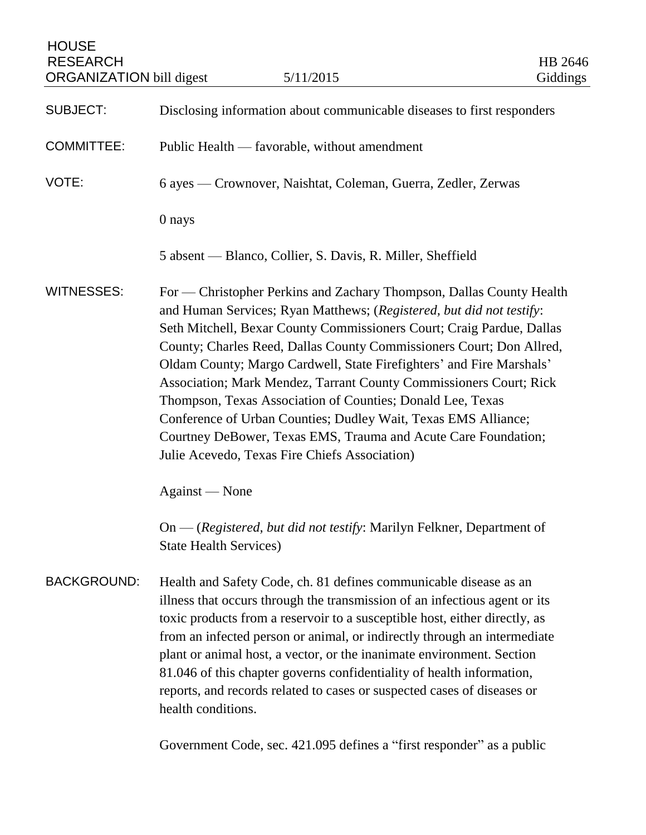| <b>HOUSE</b><br><b>RESEARCH</b><br><b>ORGANIZATION</b> bill digest | 5/11/2015                                                                                                                                                                                                                                                                                                                                                                                                                                                                                                                                                                                                                                                                                      | HB 2646<br>Giddings |
|--------------------------------------------------------------------|------------------------------------------------------------------------------------------------------------------------------------------------------------------------------------------------------------------------------------------------------------------------------------------------------------------------------------------------------------------------------------------------------------------------------------------------------------------------------------------------------------------------------------------------------------------------------------------------------------------------------------------------------------------------------------------------|---------------------|
| <b>SUBJECT:</b>                                                    | Disclosing information about communicable diseases to first responders                                                                                                                                                                                                                                                                                                                                                                                                                                                                                                                                                                                                                         |                     |
| <b>COMMITTEE:</b>                                                  | Public Health — favorable, without amendment                                                                                                                                                                                                                                                                                                                                                                                                                                                                                                                                                                                                                                                   |                     |
| VOTE:                                                              | 6 ayes — Crownover, Naishtat, Coleman, Guerra, Zedler, Zerwas                                                                                                                                                                                                                                                                                                                                                                                                                                                                                                                                                                                                                                  |                     |
|                                                                    | 0 nays                                                                                                                                                                                                                                                                                                                                                                                                                                                                                                                                                                                                                                                                                         |                     |
|                                                                    | 5 absent — Blanco, Collier, S. Davis, R. Miller, Sheffield                                                                                                                                                                                                                                                                                                                                                                                                                                                                                                                                                                                                                                     |                     |
| <b>WITNESSES:</b>                                                  | For — Christopher Perkins and Zachary Thompson, Dallas County Health<br>and Human Services; Ryan Matthews; (Registered, but did not testify:<br>Seth Mitchell, Bexar County Commissioners Court; Craig Pardue, Dallas<br>County; Charles Reed, Dallas County Commissioners Court; Don Allred,<br>Oldam County; Margo Cardwell, State Firefighters' and Fire Marshals'<br>Association; Mark Mendez, Tarrant County Commissioners Court; Rick<br>Thompson, Texas Association of Counties; Donald Lee, Texas<br>Conference of Urban Counties; Dudley Wait, Texas EMS Alliance;<br>Courtney DeBower, Texas EMS, Trauma and Acute Care Foundation;<br>Julie Acevedo, Texas Fire Chiefs Association) |                     |
|                                                                    | Against — None                                                                                                                                                                                                                                                                                                                                                                                                                                                                                                                                                                                                                                                                                 |                     |
|                                                                    | On — (Registered, but did not testify: Marilyn Felkner, Department of<br><b>State Health Services)</b>                                                                                                                                                                                                                                                                                                                                                                                                                                                                                                                                                                                         |                     |
| <b>BACKGROUND:</b>                                                 | Health and Safety Code, ch. 81 defines communicable disease as an<br>illness that occurs through the transmission of an infectious agent or its<br>toxic products from a reservoir to a susceptible host, either directly, as<br>from an infected person or animal, or indirectly through an intermediate<br>plant or animal host, a vector, or the inanimate environment. Section<br>81.046 of this chapter governs confidentiality of health information,<br>reports, and records related to cases or suspected cases of diseases or<br>health conditions.<br>Government Code, sec. 421.095 defines a "first responder" as a public                                                          |                     |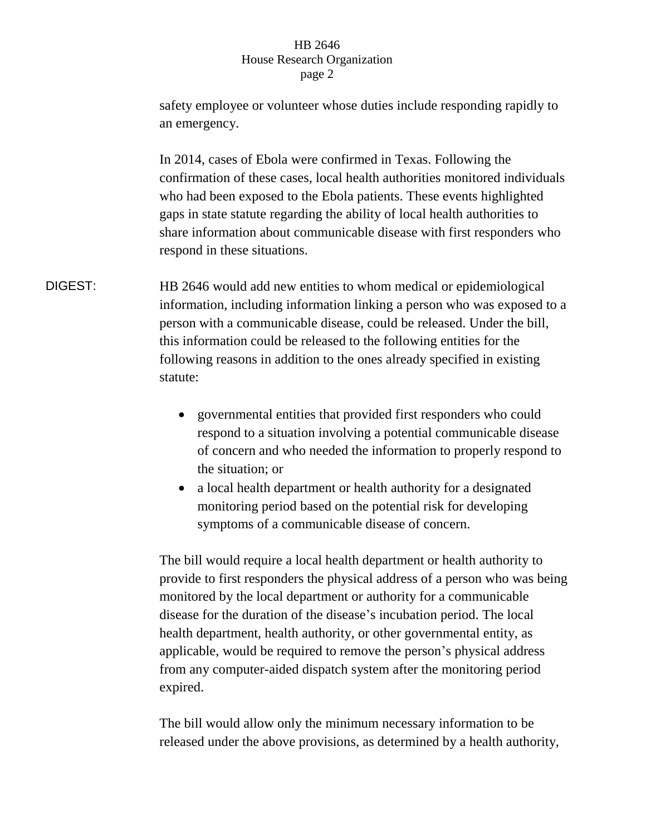## HB 2646 House Research Organization page 2

safety employee or volunteer whose duties include responding rapidly to an emergency. In 2014, cases of Ebola were confirmed in Texas. Following the confirmation of these cases, local health authorities monitored individuals who had been exposed to the Ebola patients. These events highlighted gaps in state statute regarding the ability of local health authorities to

share information about communicable disease with first responders who respond in these situations. DIGEST: HB 2646 would add new entities to whom medical or epidemiological information, including information linking a person who was exposed to a

person with a communicable disease, could be released. Under the bill, this information could be released to the following entities for the following reasons in addition to the ones already specified in existing statute:

- governmental entities that provided first responders who could respond to a situation involving a potential communicable disease of concern and who needed the information to properly respond to the situation; or
- a local health department or health authority for a designated monitoring period based on the potential risk for developing symptoms of a communicable disease of concern.

The bill would require a local health department or health authority to provide to first responders the physical address of a person who was being monitored by the local department or authority for a communicable disease for the duration of the disease's incubation period. The local health department, health authority, or other governmental entity, as applicable, would be required to remove the person's physical address from any computer-aided dispatch system after the monitoring period expired.

The bill would allow only the minimum necessary information to be released under the above provisions, as determined by a health authority,